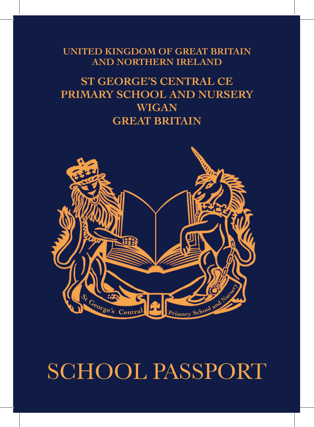**UNITED KINGDOM OF GREAT BRITAIN AND NORTHERN IRELAND**

#### **ST GEORGE'S CENTRAL CE PRIMARY SCHOOL AND NURSERY WIGAN GREAT BRITAIN**



## SCHOOL PASSPORT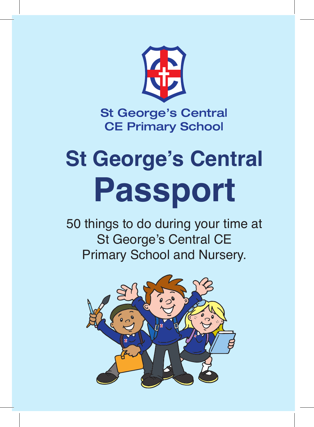

# **St George's Central Passport**

50 things to do during your time at St George's Central CE Primary School and Nursery.

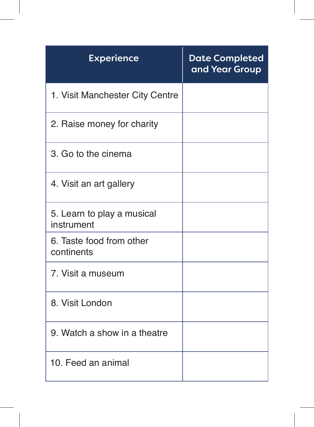| <b>Experience</b>                        | <b>Date Completed</b><br>and Year Group |
|------------------------------------------|-----------------------------------------|
| 1. Visit Manchester City Centre          |                                         |
| 2. Raise money for charity               |                                         |
| 3. Go to the cinema                      |                                         |
| 4. Visit an art gallery                  |                                         |
| 5. Learn to play a musical<br>instrument |                                         |
| 6. Taste food from other<br>continents   |                                         |
| 7. Visit a museum                        |                                         |
| 8. Visit London                          |                                         |
| 9. Watch a show in a theatre             |                                         |
| 10. Feed an animal                       |                                         |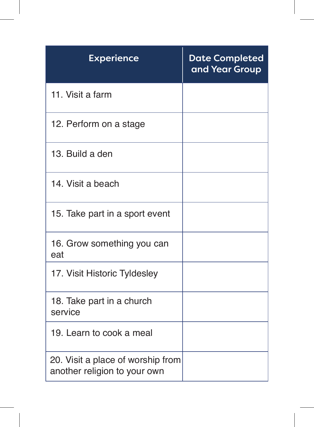| <b>Experience</b>                                                 | <b>Date Completed</b><br>and Year Group |
|-------------------------------------------------------------------|-----------------------------------------|
| 11. Visit a farm                                                  |                                         |
| 12. Perform on a stage                                            |                                         |
| 13. Build a den                                                   |                                         |
| 14. Visit a beach                                                 |                                         |
| 15. Take part in a sport event                                    |                                         |
| 16. Grow something you can<br>eat                                 |                                         |
| 17. Visit Historic Tyldesley                                      |                                         |
| 18. Take part in a church<br>service                              |                                         |
| 19. Learn to cook a meal                                          |                                         |
| 20. Visit a place of worship from<br>another religion to your own |                                         |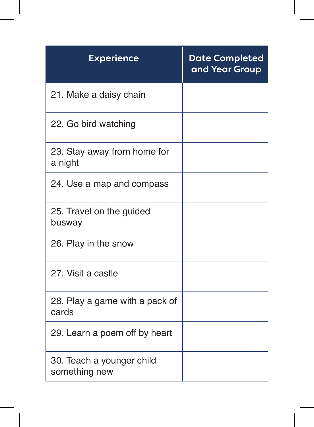| <b>Experience</b>                          | <b>Date Completed</b><br>and Year Group |
|--------------------------------------------|-----------------------------------------|
| 21. Make a daisy chain                     |                                         |
| 22. Go bird watching                       |                                         |
| 23. Stay away from home for<br>a night     |                                         |
| 24. Use a map and compass                  |                                         |
| 25. Travel on the guided<br>busway         |                                         |
| 26. Play in the snow                       |                                         |
| 27. Visit a castle                         |                                         |
| 28. Play a game with a pack of<br>cards    |                                         |
| 29. Learn a poem off by heart              |                                         |
| 30. Teach a younger child<br>something new |                                         |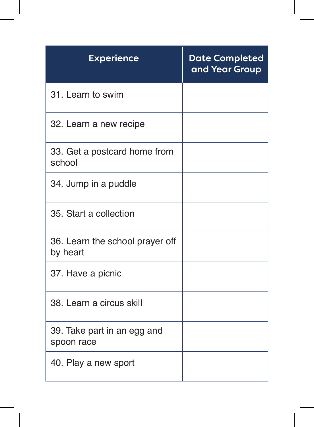| <b>Experience</b>                           | <b>Date Completed</b><br>and Year Group |
|---------------------------------------------|-----------------------------------------|
| 31. Learn to swim                           |                                         |
| 32. Learn a new recipe                      |                                         |
| 33. Get a postcard home from<br>school      |                                         |
| 34. Jump in a puddle                        |                                         |
| 35. Start a collection                      |                                         |
| 36. Learn the school prayer off<br>by heart |                                         |
| 37. Have a picnic                           |                                         |
| 38. Learn a circus skill                    |                                         |
| 39. Take part in an egg and<br>spoon race   |                                         |
| 40. Play a new sport                        |                                         |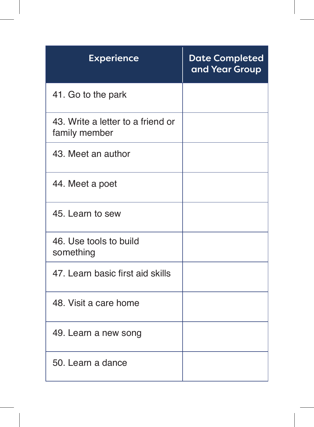| <b>Experience</b>                                  | <b>Date Completed</b><br>and Year Group |
|----------------------------------------------------|-----------------------------------------|
| 41. Go to the park                                 |                                         |
| 43. Write a letter to a friend or<br>family member |                                         |
| 43. Meet an author                                 |                                         |
| 44. Meet a poet                                    |                                         |
| 45. Learn to sew                                   |                                         |
| 46. Use tools to build<br>something                |                                         |
| 47. Learn basic first aid skills                   |                                         |
| 48. Visit a care home                              |                                         |
| 49. Learn a new song                               |                                         |
| 50. Learn a dance                                  |                                         |